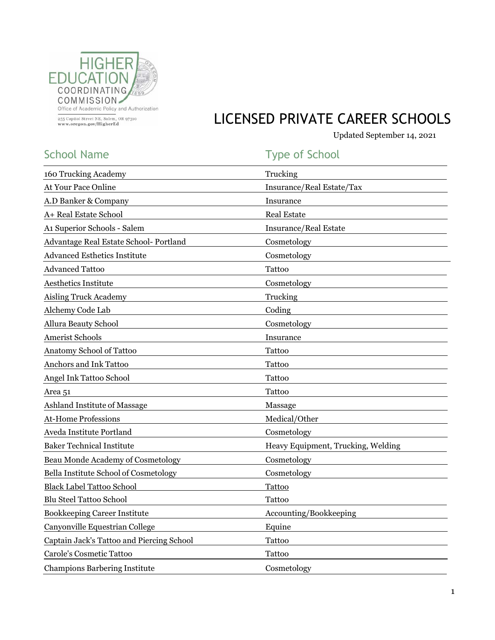

## LICENSED PRIVATE CAREER SCHOOLS

Updated September 14, 2021

## School Name Type of School

| 160 Trucking Academy                      | Trucking                           |
|-------------------------------------------|------------------------------------|
| <b>At Your Pace Online</b>                | Insurance/Real Estate/Tax          |
| A.D Banker & Company                      | Insurance                          |
| A+ Real Estate School                     | <b>Real Estate</b>                 |
| A1 Superior Schools - Salem               | Insurance/Real Estate              |
| Advantage Real Estate School- Portland    | Cosmetology                        |
| <b>Advanced Esthetics Institute</b>       | Cosmetology                        |
| <b>Advanced Tattoo</b>                    | Tattoo                             |
| Aesthetics Institute                      | Cosmetology                        |
| <b>Aisling Truck Academy</b>              | Trucking                           |
| Alchemy Code Lab                          | Coding                             |
| <b>Allura Beauty School</b>               | Cosmetology                        |
| <b>Amerist Schools</b>                    | Insurance                          |
| Anatomy School of Tattoo                  | Tattoo                             |
| Anchors and Ink Tattoo                    | Tattoo                             |
| Angel Ink Tattoo School                   | Tattoo                             |
| Area <sub>51</sub>                        | Tattoo                             |
| Ashland Institute of Massage              | Massage                            |
| <b>At-Home Professions</b>                | Medical/Other                      |
| Aveda Institute Portland                  | Cosmetology                        |
| <b>Baker Technical Institute</b>          | Heavy Equipment, Trucking, Welding |
| Beau Monde Academy of Cosmetology         | Cosmetology                        |
| Bella Institute School of Cosmetology     | Cosmetology                        |
| <b>Black Label Tattoo School</b>          | Tattoo                             |
| <b>Blu Steel Tattoo School</b>            | Tattoo                             |
| Bookkeeping Career Institute              | Accounting/Bookkeeping             |
| Canyonville Equestrian College            | Equine                             |
| Captain Jack's Tattoo and Piercing School | Tattoo                             |
| Carole's Cosmetic Tattoo                  | Tattoo                             |
| <b>Champions Barbering Institute</b>      | Cosmetology                        |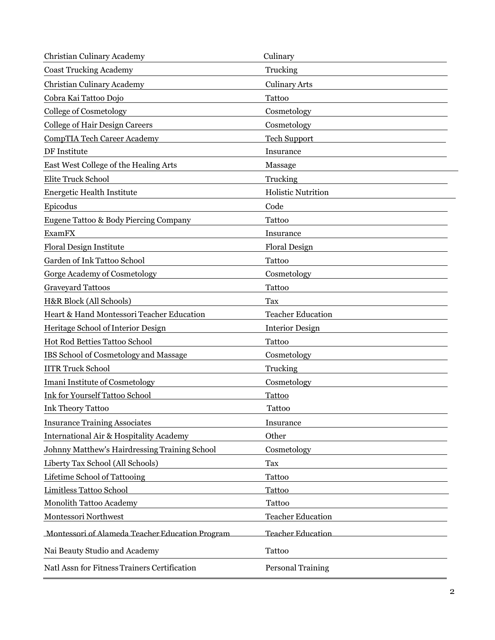| Christian Culinary Academy                      | Culinary                  |
|-------------------------------------------------|---------------------------|
| <b>Coast Trucking Academy</b>                   | Trucking                  |
| Christian Culinary Academy                      | <b>Culinary Arts</b>      |
| Cobra Kai Tattoo Dojo                           | Tattoo                    |
| <b>College of Cosmetology</b>                   | Cosmetology               |
| <b>College of Hair Design Careers</b>           | Cosmetology               |
| <b>CompTIA Tech Career Academy</b>              | <b>Tech Support</b>       |
| DF Institute                                    | Insurance                 |
| East West College of the Healing Arts           | Massage                   |
| <b>Elite Truck School</b>                       | Trucking                  |
| <b>Energetic Health Institute</b>               | <b>Holistic Nutrition</b> |
| Epicodus                                        | Code                      |
| Eugene Tattoo & Body Piercing Company           | Tattoo                    |
| <b>ExamFX</b>                                   | Insurance                 |
| Floral Design Institute                         | <b>Floral Design</b>      |
| Garden of Ink Tattoo School                     | Tattoo                    |
| Gorge Academy of Cosmetology                    | Cosmetology               |
| <b>Graveyard Tattoos</b>                        | Tattoo                    |
| H&R Block (All Schools)                         | Tax                       |
| Heart & Hand Montessori Teacher Education       | <b>Teacher Education</b>  |
| Heritage School of Interior Design              | <b>Interior Design</b>    |
| Hot Rod Betties Tattoo School                   | Tattoo                    |
| IBS School of Cosmetology and Massage           | Cosmetology               |
| <b>IITR Truck School</b>                        | Trucking                  |
| Imani Institute of Cosmetology                  | Cosmetology               |
| <b>Ink for Yourself Tattoo School</b>           | Tattoo                    |
| <b>Ink Theory Tattoo</b>                        | Tattoo                    |
| <b>Insurance Training Associates</b>            | Insurance                 |
| International Air & Hospitality Academy         | Other                     |
| Johnny Matthew's Hairdressing Training School   | Cosmetology               |
| Liberty Tax School (All Schools)                | Tax                       |
| Lifetime School of Tattooing                    | Tattoo                    |
| Limitless Tattoo School                         | Tattoo                    |
| Monolith Tattoo Academy                         | Tattoo                    |
| Montessori Northwest                            | <b>Teacher Education</b>  |
| Montessori of Alameda Teacher Education Program | <b>Teacher Education</b>  |
| Nai Beauty Studio and Academy                   | Tattoo                    |
| Natl Assn for Fitness Trainers Certification    | <b>Personal Training</b>  |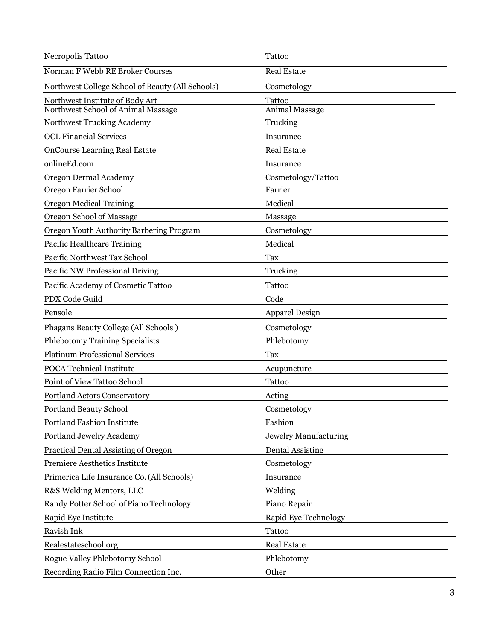| Necropolis Tattoo                                | Tattoo                      |
|--------------------------------------------------|-----------------------------|
| Norman F Webb RE Broker Courses                  | <b>Real Estate</b>          |
| Northwest College School of Beauty (All Schools) | Cosmetology                 |
| Northwest Institute of Body Art                  | Tattoo                      |
| Northwest School of Animal Massage               | Animal Massage              |
| Northwest Trucking Academy                       | Trucking                    |
| <b>OCL Financial Services</b>                    | Insurance                   |
| <b>OnCourse Learning Real Estate</b>             | <b>Real Estate</b>          |
| onlineEd.com                                     | Insurance                   |
| <b>Oregon Dermal Academy</b>                     | Cosmetology/Tattoo          |
| Oregon Farrier School                            | Farrier                     |
| <b>Oregon Medical Training</b>                   | Medical                     |
| Oregon School of Massage                         | Massage                     |
| Oregon Youth Authority Barbering Program         | Cosmetology                 |
| Pacific Healthcare Training                      | Medical                     |
| Pacific Northwest Tax School                     | Tax                         |
| Pacific NW Professional Driving                  | Trucking                    |
| Pacific Academy of Cosmetic Tattoo               | Tattoo                      |
| PDX Code Guild                                   | Code                        |
| Pensole                                          | <b>Apparel Design</b>       |
| Phagans Beauty College (All Schools)             | Cosmetology                 |
| <b>Phlebotomy Training Specialists</b>           | Phlebotomy                  |
| <b>Platinum Professional Services</b>            | Tax                         |
| <b>POCA Technical Institute</b>                  | Acupuncture                 |
| Point of View Tattoo School                      | Tattoo                      |
| Portland Actors Conservatory                     | Acting                      |
| <b>Portland Beauty School</b>                    | Cosmetology                 |
| Portland Fashion Institute                       | Fashion                     |
| Portland Jewelry Academy                         | Jewelry Manufacturing       |
| Practical Dental Assisting of Oregon             | <b>Dental Assisting</b>     |
| Premiere Aesthetics Institute                    | Cosmetology                 |
| Primerica Life Insurance Co. (All Schools)       | Insurance                   |
| R&S Welding Mentors, LLC                         | Welding                     |
| Randy Potter School of Piano Technology          | Piano Repair                |
| Rapid Eye Institute                              | <b>Rapid Eye Technology</b> |
| Ravish Ink                                       | Tattoo                      |
| Realestateschool.org                             | Real Estate                 |
| Rogue Valley Phlebotomy School                   | Phlebotomy                  |
| Recording Radio Film Connection Inc.             | Other                       |